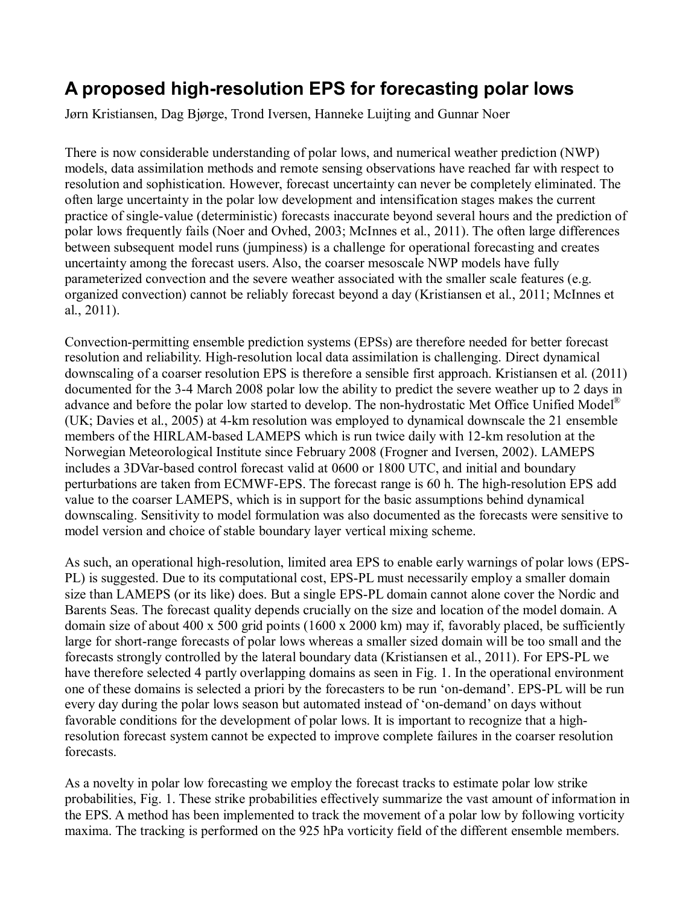## **A proposed high-resolution EPS for forecasting polar lows**

Jørn Kristiansen, Dag Bjørge, Trond Iversen, Hanneke Luijting and Gunnar Noer

There is now considerable understanding of polar lows, and numerical weather prediction (NWP) models, data assimilation methods and remote sensing observations have reached far with respect to resolution and sophistication. However, forecast uncertainty can never be completely eliminated. The often large uncertainty in the polar low development and intensification stages makes the current practice of single-value (deterministic) forecasts inaccurate beyond several hours and the prediction of polar lows frequently fails (Noer and Ovhed, 2003; McInnes et al., 2011). The often large differences between subsequent model runs (jumpiness) is a challenge for operational forecasting and creates uncertainty among the forecast users. Also, the coarser mesoscale NWP models have fully parameterized convection and the severe weather associated with the smaller scale features (e.g. organized convection) cannot be reliably forecast beyond a day (Kristiansen et al., 2011; McInnes et al., 2011).

Convection-permitting ensemble prediction systems (EPSs) are therefore needed for better forecast resolution and reliability. High-resolution local data assimilation is challenging. Direct dynamical downscaling of a coarser resolution EPS is therefore a sensible first approach. Kristiansen et al. (2011) documented for the 3-4 March 2008 polar low the ability to predict the severe weather up to 2 days in advance and before the polar low started to develop. The non-hydrostatic Met Office Unified Model<sup>®</sup> (UK; Davies et al., 2005) at 4-km resolution was employed to dynamical downscale the 21 ensemble members of the HIRLAM-based LAMEPS which is run twice daily with 12-km resolution at the Norwegian Meteorological Institute since February 2008 (Frogner and Iversen, 2002). LAMEPS includes a 3DVar-based control forecast valid at 0600 or 1800 UTC, and initial and boundary perturbations are taken from ECMWF-EPS. The forecast range is 60 h. The high-resolution EPS add value to the coarser LAMEPS, which is in support for the basic assumptions behind dynamical downscaling. Sensitivity to model formulation was also documented as the forecasts were sensitive to model version and choice of stable boundary layer vertical mixing scheme.

As such, an operational high-resolution, limited area EPS to enable early warnings of polar lows (EPS-PL) is suggested. Due to its computational cost, EPS-PL must necessarily employ a smaller domain size than LAMEPS (or its like) does. But a single EPS-PL domain cannot alone cover the Nordic and Barents Seas. The forecast quality depends crucially on the size and location of the model domain. A domain size of about 400 x 500 grid points (1600 x 2000 km) may if, favorably placed, be sufficiently large for short-range forecasts of polar lows whereas a smaller sized domain will be too small and the forecasts strongly controlled by the lateral boundary data (Kristiansen et al., 2011). For EPS-PL we have therefore selected 4 partly overlapping domains as seen in Fig. 1. In the operational environment one of these domains is selected a priori by the forecasters to be run 'on-demand'. EPS-PL will be run every day during the polar lows season but automated instead of 'on-demand' on days without favorable conditions for the development of polar lows. It is important to recognize that a highresolution forecast system cannot be expected to improve complete failures in the coarser resolution forecasts.

As a novelty in polar low forecasting we employ the forecast tracks to estimate polar low strike probabilities, Fig. 1. These strike probabilities effectively summarize the vast amount of information in the EPS. A method has been implemented to track the movement of a polar low by following vorticity maxima. The tracking is performed on the 925 hPa vorticity field of the different ensemble members.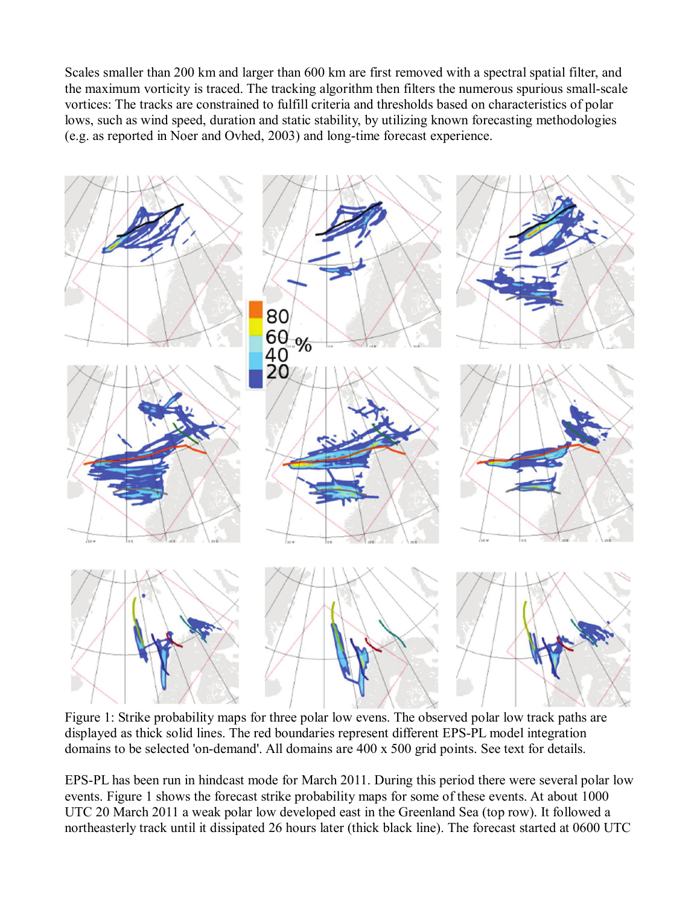Scales smaller than 200 km and larger than 600 km are first removed with a spectral spatial filter, and the maximum vorticity is traced. The tracking algorithm then filters the numerous spurious small-scale vortices: The tracks are constrained to fulfill criteria and thresholds based on characteristics of polar lows, such as wind speed, duration and static stability, by utilizing known forecasting methodologies (e.g. as reported in Noer and Ovhed, 2003) and long-time forecast experience.



Figure 1: Strike probability maps for three polar low evens. The observed polar low track paths are displayed as thick solid lines. The red boundaries represent different EPS-PL model integration domains to be selected 'on-demand'. All domains are 400 x 500 grid points. See text for details.

EPS-PL has been run in hindcast mode for March 2011. During this period there were several polar low events. Figure 1 shows the forecast strike probability maps for some of these events. At about 1000 UTC 20 March 2011 a weak polar low developed east in the Greenland Sea (top row). It followed a northeasterly track until it dissipated 26 hours later (thick black line). The forecast started at 0600 UTC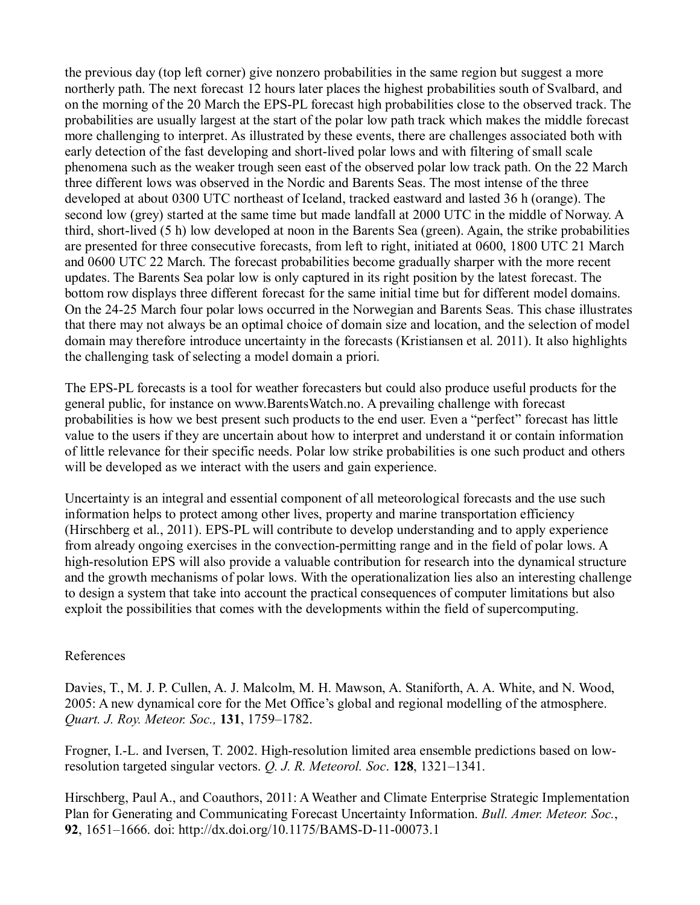the previous day (top left corner) give nonzero probabilities in the same region but suggest a more northerly path. The next forecast 12 hours later places the highest probabilities south of Svalbard, and on the morning of the 20 March the EPS-PL forecast high probabilities close to the observed track. The probabilities are usually largest at the start of the polar low path track which makes the middle forecast more challenging to interpret. As illustrated by these events, there are challenges associated both with early detection of the fast developing and short-lived polar lows and with filtering of small scale phenomena such as the weaker trough seen east of the observed polar low track path. On the 22 March three different lows was observed in the Nordic and Barents Seas. The most intense of the three developed at about 0300 UTC northeast of Iceland, tracked eastward and lasted 36 h (orange). The second low (grey) started at the same time but made landfall at 2000 UTC in the middle of Norway. A third, short-lived (5 h) low developed at noon in the Barents Sea (green). Again, the strike probabilities are presented for three consecutive forecasts, from left to right, initiated at 0600, 1800 UTC 21 March and 0600 UTC 22 March. The forecast probabilities become gradually sharper with the more recent updates. The Barents Sea polar low is only captured in its right position by the latest forecast. The bottom row displays three different forecast for the same initial time but for different model domains. On the 24-25 March four polar lows occurred in the Norwegian and Barents Seas. This chase illustrates that there may not always be an optimal choice of domain size and location, and the selection of model domain may therefore introduce uncertainty in the forecasts (Kristiansen et al. 2011). It also highlights the challenging task of selecting a model domain a priori.

The EPS-PL forecasts is a tool for weather forecasters but could also produce useful products for the general public, for instance on www.BarentsWatch.no. A prevailing challenge with forecast probabilities is how we best present such products to the end user. Even a "perfect" forecast has little value to the users if they are uncertain about how to interpret and understand it or contain information of little relevance for their specific needs. Polar low strike probabilities is one such product and others will be developed as we interact with the users and gain experience.

Uncertainty is an integral and essential component of all meteorological forecasts and the use such information helps to protect among other lives, property and marine transportation efficiency (Hirschberg et al., 2011). EPS-PL will contribute to develop understanding and to apply experience from already ongoing exercises in the convection-permitting range and in the field of polar lows. A high-resolution EPS will also provide a valuable contribution for research into the dynamical structure and the growth mechanisms of polar lows. With the operationalization lies also an interesting challenge to design a system that take into account the practical consequences of computer limitations but also exploit the possibilities that comes with the developments within the field of supercomputing.

## References

Davies, T., M. J. P. Cullen, A. J. Malcolm, M. H. Mawson, A. Staniforth, A. A. White, and N. Wood, 2005: A new dynamical core for the Met Office's global and regional modelling of the atmosphere. *Quart. J. Roy. Meteor. Soc.,* **131**, 1759–1782.

Frogner, I.-L. and Iversen, T. 2002. High-resolution limited area ensemble predictions based on lowresolution targeted singular vectors. *Q. J. R. Meteorol. Soc*. **128**, 1321–1341.

Hirschberg, Paul A., and Coauthors, 2011: A Weather and Climate Enterprise Strategic Implementation Plan for Generating and Communicating Forecast Uncertainty Information. *Bull. Amer. Meteor. Soc.*, **92**, 1651–1666. doi: http://dx.doi.org/10.1175/BAMS-D-11-00073.1